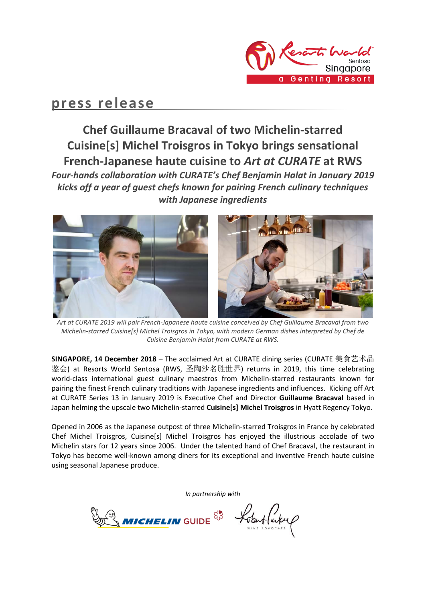

# **press release**

**Chef Guillaume Bracaval of two Michelin-starred Cuisine[s] Michel Troisgros in Tokyo brings sensational French-Japanese haute cuisine to** *Art at CURATE* **at RWS** *Four-hands collaboration with CURATE's Chef Benjamin Halat in January 2019 kicks off a year of guest chefs known for pairing French culinary techniques with Japanese ingredients*



*Art at CURATE 2019 will pair French-Japanese haute cuisine conceived by Chef Guillaume Bracaval from two Michelin-starred Cuisine[s] Michel Troisgros in Tokyo, with modern German dishes interpreted by Chef de Cuisine Benjamin Halat from CURATE at RWS.*

**SINGAPORE, 14 December 2018** – The acclaimed Art at CURATE dining series (CURATE 美食艺术品 鉴会) at Resorts World Sentosa (RWS, 圣陶沙名胜世界) returns in 2019, this time celebrating world-class international guest culinary maestros from Michelin-starred restaurants known for pairing the finest French culinary traditions with Japanese ingredients and influences. Kicking off Art at CURATE Series 13 in January 2019 is Executive Chef and Director **Guillaume Bracaval** based in Japan helming the upscale two Michelin-starred **Cuisine[s] Michel Troisgros** in Hyatt Regency Tokyo.

Opened in 2006 as the Japanese outpost of three Michelin-starred Troisgros in France by celebrated Chef Michel Troisgros, Cuisine[s] Michel Troisgros has enjoyed the illustrious accolade of two Michelin stars for 12 years since 2006. Under the talented hand of Chef Bracaval, the restaurant in Tokyo has become well-known among diners for its exceptional and inventive French haute cuisine using seasonal Japanese produce.

*In partnership with*

MICHELIN GUIDE<sup>ES</sup> Lobraflancy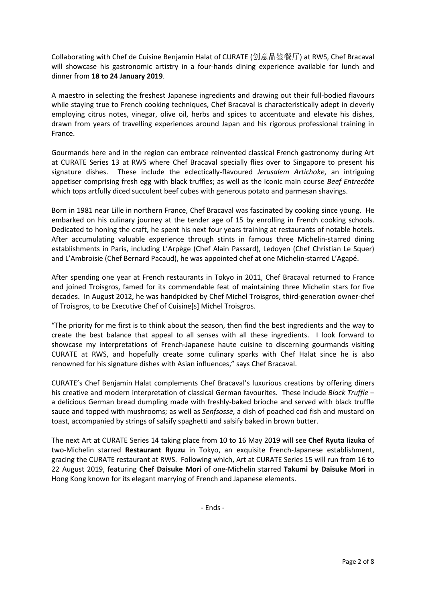Collaborating with Chef de Cuisine Benjamin Halat of CURATE (创意品鉴餐厅) at RWS, Chef Bracaval will showcase his gastronomic artistry in a four-hands dining experience available for lunch and dinner from **18 to 24 January 2019**.

A maestro in selecting the freshest Japanese ingredients and drawing out their full-bodied flavours while staying true to French cooking techniques, Chef Bracaval is characteristically adept in cleverly employing citrus notes, vinegar, olive oil, herbs and spices to accentuate and elevate his dishes, drawn from years of travelling experiences around Japan and his rigorous professional training in France.

Gourmands here and in the region can embrace reinvented classical French gastronomy during Art at CURATE Series 13 at RWS where Chef Bracaval specially flies over to Singapore to present his signature dishes. These include the eclectically-flavoured *Jerusalem Artichoke*, an intriguing appetiser comprising fresh egg with black truffles; as well as the iconic main course *Beef Entrecôte* which tops artfully diced succulent beef cubes with generous potato and parmesan shavings.

Born in 1981 near Lille in northern France, Chef Bracaval was fascinated by cooking since young. He embarked on his culinary journey at the tender age of 15 by enrolling in French cooking schools. Dedicated to honing the craft, he spent his next four years training at restaurants of notable hotels. After accumulating valuable experience through stints in famous three Michelin-starred dining establishments in Paris, including L'Arpège (Chef Alain Passard), Ledoyen (Chef Christian Le Squer) and L'Ambroisie (Chef Bernard Pacaud), he was appointed chef at one Michelin-starred L'Agapé.

After spending one year at French restaurants in Tokyo in 2011, Chef Bracaval returned to France and joined Troisgros, famed for its commendable feat of maintaining three Michelin stars for five decades. In August 2012, he was handpicked by Chef Michel Troisgros, third-generation owner-chef of Troisgros, to be Executive Chef of Cuisine[s] Michel Troisgros.

"The priority for me first is to think about the season, then find the best ingredients and the way to create the best balance that appeal to all senses with all these ingredients. I look forward to showcase my interpretations of French-Japanese haute cuisine to discerning gourmands visiting CURATE at RWS, and hopefully create some culinary sparks with Chef Halat since he is also renowned for his signature dishes with Asian influences," says Chef Bracaval.

CURATE's Chef Benjamin Halat complements Chef Bracaval's luxurious creations by offering diners his creative and modern interpretation of classical German favourites. These include *Black Truffle* – a delicious German bread dumpling made with freshly-baked brioche and served with black truffle sauce and topped with mushrooms; as well as *Senfsosse*, a dish of poached cod fish and mustard on toast, accompanied by strings of salsify spaghetti and salsify baked in brown butter.

The next Art at CURATE Series 14 taking place from 10 to 16 May 2019 will see **Chef Ryuta Iizuka** of two-Michelin starred **Restaurant Ryuzu** in Tokyo, an exquisite French-Japanese establishment, gracing the CURATE restaurant at RWS. Following which, Art at CURATE Series 15 will run from 16 to 22 August 2019, featuring **Chef Daisuke Mori** of one-Michelin starred **Takumi by Daisuke Mori** in Hong Kong known for its elegant marrying of French and Japanese elements.

- Ends -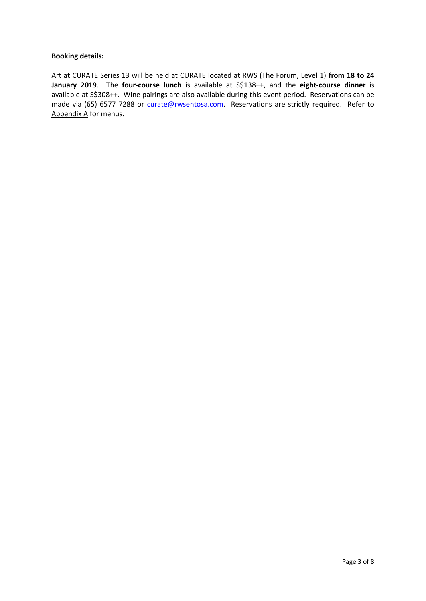#### **Booking details:**

Art at CURATE Series 13 will be held at CURATE located at RWS (The Forum, Level 1) **from 18 to 24 January 2019**. The **four-course lunch** is available at S\$138++, and the **eight-course dinner** is available at S\$308++. Wine pairings are also available during this event period. Reservations can be made via (65) 6577 7288 or [curate@rwsentosa.com.](mailto:curate@rwsentosa.com) Reservations are strictly required. Refer to Appendix A for menus.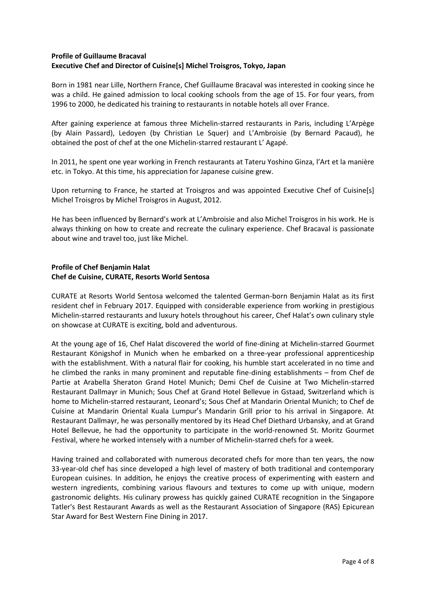#### **Profile of Guillaume Bracaval Executive Chef and Director of Cuisine[s] Michel Troisgros, Tokyo, Japan**

Born in 1981 near Lille, Northern France, Chef Guillaume Bracaval was interested in cooking since he was a child. He gained admission to local cooking schools from the age of 15. For four years, from 1996 to 2000, he dedicated his training to restaurants in notable hotels all over France.

After gaining experience at famous three Michelin-starred restaurants in Paris, including L'Arpège (by Alain Passard), Ledoyen (by Christian Le Squer) and L'Ambroisie (by Bernard Pacaud), he obtained the post of chef at the one Michelin-starred restaurant L' Agapé.

In 2011, he spent one year working in French restaurants at Tateru Yoshino Ginza, l'Art et la manière etc. in Tokyo. At this time, his appreciation for Japanese cuisine grew.

Upon returning to France, he started at Troisgros and was appointed Executive Chef of Cuisine[s] Michel Troisgros by Michel Troisgros in August, 2012.

He has been influenced by Bernard's work at L'Ambroisie and also Michel Troisgros in his work. He is always thinking on how to create and recreate the culinary experience. Chef Bracaval is passionate about wine and travel too, just like Michel.

#### **Profile of Chef Benjamin Halat Chef de Cuisine, CURATE, Resorts World Sentosa**

CURATE at Resorts World Sentosa welcomed the talented German-born Benjamin Halat as its first resident chef in February 2017. Equipped with considerable experience from working in prestigious Michelin-starred restaurants and luxury hotels throughout his career, Chef Halat's own culinary style on showcase at CURATE is exciting, bold and adventurous.

At the young age of 16, Chef Halat discovered the world of fine-dining at Michelin-starred Gourmet Restaurant Königshof in Munich when he embarked on a three-year professional apprenticeship with the establishment. With a natural flair for cooking, his humble start accelerated in no time and he climbed the ranks in many prominent and reputable fine-dining establishments – from Chef de Partie at Arabella Sheraton Grand Hotel Munich; Demi Chef de Cuisine at Two Michelin-starred Restaurant Dallmayr in Munich; Sous Chef at Grand Hotel Bellevue in Gstaad, Switzerland which is home to Michelin-starred restaurant, Leonard's; Sous Chef at Mandarin Oriental Munich; to Chef de Cuisine at Mandarin Oriental Kuala Lumpur's Mandarin Grill prior to his arrival in Singapore. At Restaurant Dallmayr, he was personally mentored by its Head Chef Diethard Urbansky, and at Grand Hotel Bellevue, he had the opportunity to participate in the world-renowned St. Moritz Gourmet Festival, where he worked intensely with a number of Michelin-starred chefs for a week.

Having trained and collaborated with numerous decorated chefs for more than ten years, the now 33-year-old chef has since developed a high level of mastery of both traditional and contemporary European cuisines. In addition, he enjoys the creative process of experimenting with eastern and western ingredients, combining various flavours and textures to come up with unique, modern gastronomic delights. His culinary prowess has quickly gained CURATE recognition in the Singapore Tatler's Best Restaurant Awards as well as the Restaurant Association of Singapore (RAS) Epicurean Star Award for Best Western Fine Dining in 2017.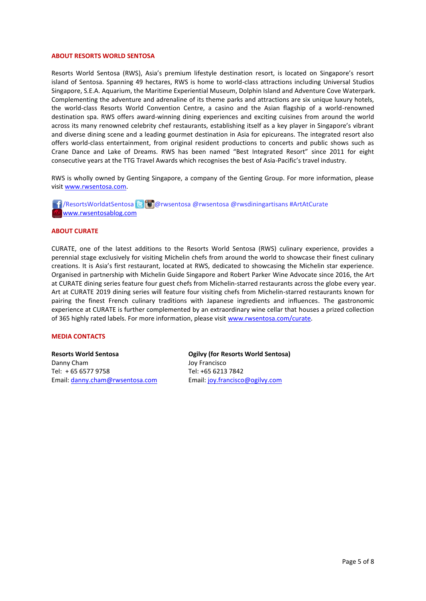#### **ABOUT RESORTS WORLD SENTOSA**

Resorts World Sentosa (RWS), Asia's premium lifestyle destination resort, is located on Singapore's resort island of Sentosa. Spanning 49 hectares, RWS is home to world-class attractions including Universal Studios Singapore, S.E.A. Aquarium, the Maritime Experiential Museum, Dolphin Island and Adventure Cove Waterpark. Complementing the adventure and adrenaline of its theme parks and attractions are six unique luxury hotels, the world-class Resorts World Convention Centre, a casino and the Asian flagship of a world-renowned destination spa. RWS offers award-winning dining experiences and exciting cuisines from around the world across its many renowned celebrity chef restaurants, establishing itself as a key player in Singapore's vibrant and diverse dining scene and a leading gourmet destination in Asia for epicureans. The integrated resort also offers world-class entertainment, from original resident productions to concerts and public shows such as Crane Dance and Lake of Dreams. RWS has been named "Best Integrated Resort" since 2011 for eight consecutive years at the TTG Travel Awards which recognises the best of Asia-Pacific's travel industry.

RWS is wholly owned by Genting Singapore, a company of the Genting Group. For more information, please visi[t www.rwsentosa.com.](http://www.rwsentosa.com/)

**16** / ResortsWorldatSentosa **@ [6]** @rwsentosa @rwsentosa @rwsdiningartisans #ArtAtCurate [www.rwsentosablog.com](http://www.rwsentosablog.com/)

#### **ABOUT CURATE**

CURATE, one of the latest additions to the Resorts World Sentosa (RWS) culinary experience, provides a perennial stage exclusively for visiting Michelin chefs from around the world to showcase their finest culinary creations. It is Asia's first restaurant, located at RWS, dedicated to showcasing the Michelin star experience. Organised in partnership with Michelin Guide Singapore and Robert Parker Wine Advocate since 2016, the Art at CURATE dining series feature four guest chefs from Michelin-starred restaurants across the globe every year. Art at CURATE 2019 dining series will feature four visiting chefs from Michelin-starred restaurants known for pairing the finest French culinary traditions with Japanese ingredients and influences. The gastronomic experience at CURATE is further complemented by an extraordinary wine cellar that houses a prized collection of 365 highly rated labels. For more information, please visit [www.rwsentosa.com/curate.](http://www.rwsentosa.com/curate)

#### **MEDIA CONTACTS**

**Resorts World Sentosa** Danny Cham Tel: + 65 6577 9758 Email: [danny.cham@rwsentosa.com](mailto:danny.cham@rwsentosa.com)

**Ogilvy (for Resorts World Sentosa)** Joy Francisco Tel: +65 6213 7842 Email[: joy.francisco@ogilvy.com](mailto:joy.francisco@ogilvy.com)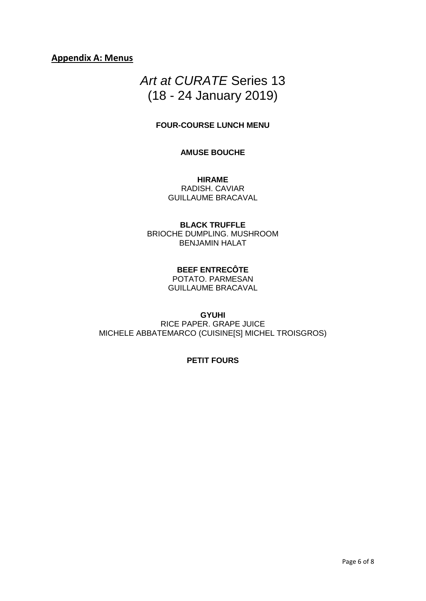# **Appendix A: Menus**

# *Art at CURATE* Series 13 (18 - 24 January 2019)

### **FOUR-COURSE LUNCH MENU**

#### **AMUSE BOUCHE**

**HIRAME** RADISH. CAVIAR GUILLAUME BRACAVAL

### **BLACK TRUFFLE**  BRIOCHE DUMPLING. MUSHROOM BENJAMIN HALAT

**BEEF ENTRECÔTE** POTATO. PARMESAN GUILLAUME BRACAVAL

### **GYUHI** RICE PAPER. GRAPE JUICE MICHELE ABBATEMARCO (CUISINE[S] MICHEL TROISGROS)

### **PETIT FOURS**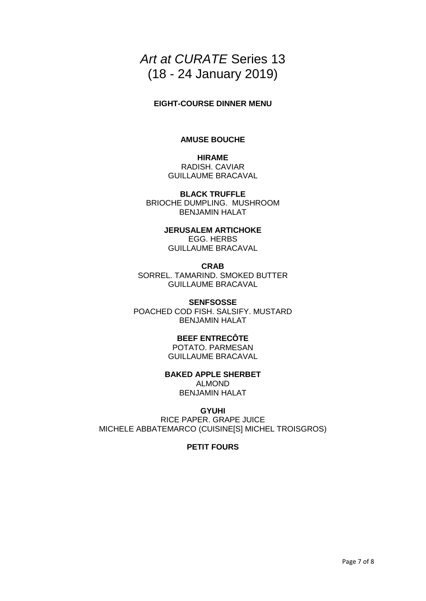# *Art at CURATE* Series 13 (18 - 24 January 2019)

**EIGHT-COURSE DINNER MENU**

## **AMUSE BOUCHE**

**HIRAME** RADISH. CAVIAR GUILLAUME BRACAVAL

**BLACK TRUFFLE** BRIOCHE DUMPLING. MUSHROOM BENJAMIN HALAT

**JERUSALEM ARTICHOKE**

EGG. HERBS GUILLAUME BRACAVAL

**CRAB** SORREL. TAMARIND. SMOKED BUTTER GUILLAUME BRACAVAL

**SENFSOSSE** POACHED COD FISH. SALSIFY. MUSTARD BENJAMIN HALAT

## **BEEF ENTRECÔTE**

POTATO. PARMESAN GUILLAUME BRACAVAL

**BAKED APPLE SHERBET** ALMOND BENJAMIN HALAT

**GYUHI** RICE PAPER. GRAPE JUICE MICHELE ABBATEMARCO (CUISINE[S] MICHEL TROISGROS)

## **PETIT FOURS**